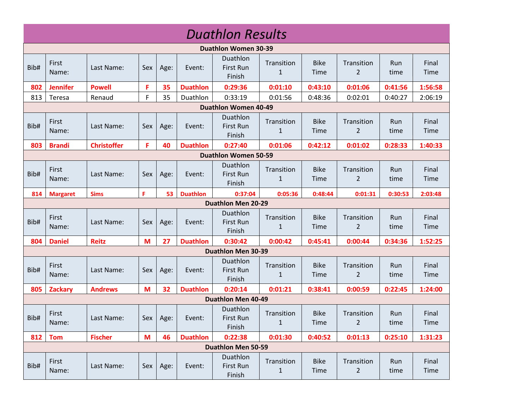|                             | <b>Duathlon Results</b>     |                    |     |      |                 |                                        |                            |                     |                              |             |               |
|-----------------------------|-----------------------------|--------------------|-----|------|-----------------|----------------------------------------|----------------------------|---------------------|------------------------------|-------------|---------------|
|                             |                             |                    |     |      |                 | <b>Duathlon Women 30-39</b>            |                            |                     |                              |             |               |
| Bib#                        | First<br>Name:              | Last Name:         | Sex | Age: | Event:          | Duathlon<br><b>First Run</b><br>Finish | Transition<br>$\mathbf{1}$ | <b>Bike</b><br>Time | Transition<br>$\overline{2}$ | Run<br>time | Final<br>Time |
| 802                         | <b>Jennifer</b>             | <b>Powell</b>      | F   | 35   | <b>Duathlon</b> | 0:29:36                                | 0:01:10                    | 0:43:10             | 0:01:06                      | 0:41:56     | 1:56:58       |
| 813                         | Teresa                      | Renaud             | F   | 35   | Duathlon        | 0:33:19                                | 0:01:56                    | 0:48:36             | 0:02:01                      | 0:40:27     | 2:06:19       |
|                             | <b>Duathlon Women 40-49</b> |                    |     |      |                 |                                        |                            |                     |                              |             |               |
| Bib#                        | First<br>Name:              | Last Name:         | Sex | Age: | Event:          | Duathlon<br>First Run<br>Finish        | Transition<br>$\mathbf{1}$ | <b>Bike</b><br>Time | Transition<br>2              | Run<br>time | Final<br>Time |
| 803                         | <b>Brandi</b>               | <b>Christoffer</b> | F.  | 40   | <b>Duathlon</b> | 0:27:40                                | 0:01:06                    | 0:42:12             | 0:01:02                      | 0:28:33     | 1:40:33       |
| <b>Duathlon Women 50-59</b> |                             |                    |     |      |                 |                                        |                            |                     |                              |             |               |
| Bib#                        | First<br>Name:              | Last Name:         | Sex | Age: | Event:          | Duathlon<br>First Run<br>Finish        | Transition<br>$\mathbf{1}$ | <b>Bike</b><br>Time | Transition<br>2              | Run<br>time | Final<br>Time |
| 814                         | <b>Margaret</b>             | <b>Sims</b>        | F   | 53   | <b>Duathlon</b> | 0:37:04                                | 0:05:36                    | 0:48:44             | 0:01:31                      | 0:30:53     | 2:03:48       |
| <b>Duathlon Men 20-29</b>   |                             |                    |     |      |                 |                                        |                            |                     |                              |             |               |
| Bib#                        | First<br>Name:              | Last Name:         | Sex | Age: | Event:          | Duathlon<br>First Run<br>Finish        | Transition<br>1            | <b>Bike</b><br>Time | Transition<br>$\overline{2}$ | Run<br>time | Final<br>Time |
| 804                         | <b>Daniel</b>               | <b>Reitz</b>       | M   | 27   | <b>Duathlon</b> | 0:30:42                                | 0:00:42                    | 0:45:41             | 0:00:44                      | 0:34:36     | 1:52:25       |
|                             |                             |                    |     |      |                 | <b>Duathlon Men 30-39</b>              |                            |                     |                              |             |               |
| Bib#                        | First<br>Name:              | Last Name:         | Sex | Age: | Event:          | Duathlon<br>First Run<br>Finish        | Transition<br>$\mathbf{1}$ | <b>Bike</b><br>Time | Transition<br>$\overline{2}$ | Run<br>time | Final<br>Time |
| 805                         | <b>Zackary</b>              | <b>Andrews</b>     | M   | 32   | <b>Duathlon</b> | 0:20:14                                | 0:01:21                    | 0:38:41             | 0:00:59                      | 0:22:45     | 1:24:00       |
|                             |                             |                    |     |      |                 | <b>Duathlon Men 40-49</b>              |                            |                     |                              |             |               |
| Bib#                        | First<br>Name:              | Last Name:         | Sex | Age: | Event:          | Duathlon<br>First Run<br>Finish        | Transition<br>$\mathbf{1}$ | <b>Bike</b><br>Time | Transition<br>$\overline{2}$ | Run<br>time | Final<br>Time |
| 812                         | <b>Tom</b>                  | <b>Fischer</b>     | M   | 46   | <b>Duathlon</b> | 0:22:38                                | 0:01:30                    | 0:40:52             | 0:01:13                      | 0:25:10     | 1:31:23       |
|                             |                             |                    |     |      |                 | <b>Duathlon Men 50-59</b>              |                            |                     |                              |             |               |
| Bib#                        | First<br>Name:              | Last Name:         | Sex | Age: | Event:          | Duathlon<br>First Run<br>Finish        | Transition<br>$\mathbf{1}$ | <b>Bike</b><br>Time | Transition<br>$\overline{2}$ | Run<br>time | Final<br>Time |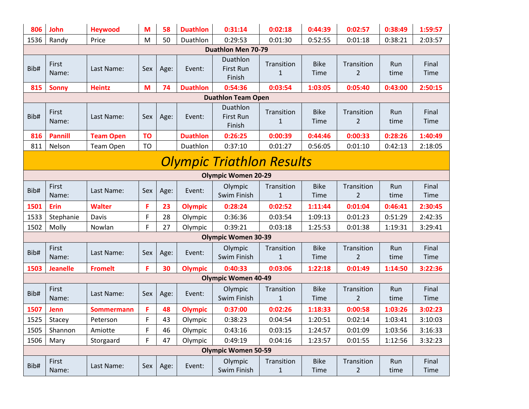| 806                              | John                       | <b>Heywood</b>   | M         | 58   | <b>Duathlon</b> | 0:31:14                                | 0:02:18                    | 0:44:39             | 0:02:57                      | 0:38:49     | 1:59:57              |
|----------------------------------|----------------------------|------------------|-----------|------|-----------------|----------------------------------------|----------------------------|---------------------|------------------------------|-------------|----------------------|
| 1536                             | Randy                      | Price            | M         | 50   | Duathlon        | 0:29:53                                | 0:01:30                    | 0:52:55             | 0:01:18                      | 0:38:21     | 2:03:57              |
|                                  |                            |                  |           |      |                 | <b>Duathlon Men 70-79</b>              |                            |                     |                              |             |                      |
| Bib#                             | First<br>Name:             | Last Name:       | Sex       | Age: | Event:          | Duathlon<br><b>First Run</b><br>Finish | Transition<br>$\mathbf{1}$ | <b>Bike</b><br>Time | Transition<br>2              | Run<br>time | Final<br><b>Time</b> |
| 815                              | <b>Sonny</b>               | <b>Heintz</b>    | M         | 74   | <b>Duathlon</b> | 0:54:36                                | 0:03:54                    | 1:03:05             | 0:05:40                      | 0:43:00     | 2:50:15              |
|                                  |                            |                  |           |      |                 | <b>Duathlon Team Open</b>              |                            |                     |                              |             |                      |
| Bib#                             | First<br>Name:             | Last Name:       | Sex       | Age: | Event:          | Duathlon<br><b>First Run</b><br>Finish | Transition<br>$\mathbf{1}$ | <b>Bike</b><br>Time | Transition<br>2              | Run<br>time | Final<br><b>Time</b> |
| 816                              | <b>Pannill</b>             | <b>Team Open</b> | <b>TO</b> |      | <b>Duathlon</b> | 0:26:25                                | 0:00:39                    | 0:44:46             | 0:00:33                      | 0:28:26     | 1:40:49              |
| 811                              | Nelson                     | Team Open        | <b>TO</b> |      | Duathlon        | 0:37:10                                | 0:01:27                    | 0:56:05             | 0:01:10                      | 0:42:13     | 2:18:05              |
| <b>Olympic Triathlon Results</b> |                            |                  |           |      |                 |                                        |                            |                     |                              |             |                      |
| <b>Olympic Women 20-29</b>       |                            |                  |           |      |                 |                                        |                            |                     |                              |             |                      |
| Bib#                             | First<br>Name:             | Last Name:       | Sex       | Age: | Event:          | Olympic<br>Swim Finish                 | Transition<br>$\mathbf{1}$ | <b>Bike</b><br>Time | Transition<br>2              | Run<br>time | Final<br><b>Time</b> |
| 1501                             | <b>Erin</b>                | <b>Walter</b>    | F         | 23   | <b>Olympic</b>  | 0:28:24                                | 0:02:52                    | 1:11:44             | 0:01:04                      | 0:46:41     | 2:30:45              |
| 1533                             | Stephanie                  | Davis            | F         | 28   | Olympic         | 0:36:36                                | 0:03:54                    | 1:09:13             | 0:01:23                      | 0:51:29     | 2:42:35              |
| 1502                             | Molly                      | Nowlan           | F         | 27   | Olympic         | 0:39:21                                | 0:03:18                    | 1:25:53             | 0:01:38                      | 1:19:31     | 3:29:41              |
|                                  |                            |                  |           |      |                 | <b>Olympic Women 30-39</b>             |                            |                     |                              |             |                      |
| Bib#                             | First<br>Name:             | Last Name:       | Sex       | Age: | Event:          | Olympic<br>Swim Finish                 | Transition<br>$\mathbf{1}$ | <b>Bike</b><br>Time | Transition<br>2              | Run<br>time | Final<br><b>Time</b> |
| 1503                             | <b>Jeanelle</b>            | <b>Fromelt</b>   | F.        | 30   | <b>Olympic</b>  | 0:40:33                                | 0:03:06                    | 1:22:18             | 0:01:49                      | 1:14:50     | 3:22:36              |
|                                  |                            |                  |           |      |                 | <b>Olympic Women 40-49</b>             |                            |                     |                              |             |                      |
| Bib#                             | First<br>Name:             | Last Name:       | Sex       | Age: | Event:          | Olympic<br>Swim Finish                 | Transition<br>$\mathbf{1}$ | <b>Bike</b><br>Time | Transition<br>2              | Run<br>time | Final<br>Time        |
| 1507                             | <b>Jenn</b>                | Sommermann       | F         | 48   | <b>Olympic</b>  | 0:37:00                                | 0:02:26                    | 1:18:33             | 0:00:58                      | 1:03:26     | 3:02:23              |
| 1525                             | Stacey                     | Peterson         | F         | 43   | Olympic         | 0:38:23                                | 0:04:54                    | 1:20:51             | 0:02:14                      | 1:03:41     | 3:10:03              |
| 1505                             | Shannon                    | Amiotte          | F         | 46   | Olympic         | 0:43:16                                | 0:03:15                    | 1:24:57             | 0:01:09                      | 1:03:56     | 3:16:33              |
| 1506                             | Mary                       | Storgaard        | F.        | 47   | Olympic         | 0:49:19                                | 0:04:16                    | 1:23:57             | 0:01:55                      | 1:12:56     | 3:32:23              |
|                                  | <b>Olympic Women 50-59</b> |                  |           |      |                 |                                        |                            |                     |                              |             |                      |
| Bib#                             | First<br>Name:             | Last Name:       | Sex       | Age: | Event:          | Olympic<br>Swim Finish                 | Transition<br>$\mathbf{1}$ | <b>Bike</b><br>Time | Transition<br>$\overline{2}$ | Run<br>time | Final<br>Time        |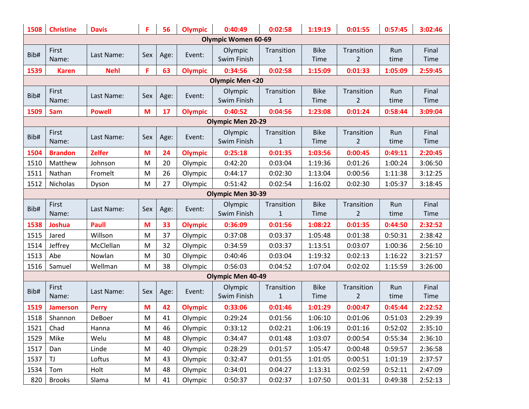| 1508                     | <b>Christine</b>         | <b>Davis</b>  | F.  | 56   | <b>Olympic</b> | 0:40:49                    | 0:02:58                    | 1:19:19                    | 0:01:55                      | 0:57:45     | 3:02:46              |  |
|--------------------------|--------------------------|---------------|-----|------|----------------|----------------------------|----------------------------|----------------------------|------------------------------|-------------|----------------------|--|
|                          |                          |               |     |      |                | <b>Olympic Women 60-69</b> |                            |                            |                              |             |                      |  |
| Bib#                     | First<br>Name:           | Last Name:    | Sex | Age: | Event:         | Olympic<br>Swim Finish     | Transition<br>$\mathbf{1}$ | <b>Bike</b><br><b>Time</b> | Transition<br>2              | Run<br>time | Final<br><b>Time</b> |  |
| 1539                     | <b>Karen</b>             | <b>Nehl</b>   | F   | 63   | <b>Olympic</b> | 0:34:56                    | 0:02:58                    | 1:15:09                    | 0:01:33                      | 1:05:09     | 2:59:45              |  |
|                          |                          |               |     |      |                | <b>Olympic Men &lt;20</b>  |                            |                            |                              |             |                      |  |
| Bib#                     | First<br>Name:           | Last Name:    | Sex | Age: | Event:         | Olympic<br>Swim Finish     | Transition<br>$\mathbf{1}$ | <b>Bike</b><br><b>Time</b> | Transition<br>2              | Run<br>time | Final<br><b>Time</b> |  |
| 1509                     | <b>Sam</b>               | <b>Powell</b> | M   | 17   | <b>Olympic</b> | 0:40:52                    | 0:04:56                    | 1:23:08                    | 0:01:24                      | 0:58:44     | 3:09:04              |  |
|                          | <b>Olympic Men 20-29</b> |               |     |      |                |                            |                            |                            |                              |             |                      |  |
| Bib#                     | First<br>Name:           | Last Name:    | Sex | Age: | Event:         | Olympic<br>Swim Finish     | Transition<br>$\mathbf{1}$ | <b>Bike</b><br><b>Time</b> | Transition<br>2              | Run<br>time | Final<br>Time        |  |
| 1504                     | <b>Brandon</b>           | <b>Zelfer</b> | M   | 24   | <b>Olympic</b> | 0:25:18                    | 0:01:35                    | 1:03:56                    | 0:00:45                      | 0:49:11     | 2:20:45              |  |
| 1510                     | Matthew                  | Johnson       | M   | 20   | Olympic        | 0:42:20                    | 0:03:04                    | 1:19:36                    | 0:01:26                      | 1:00:24     | 3:06:50              |  |
| 1511                     | Nathan                   | Fromelt       | M   | 26   | Olympic        | 0:44:17                    | 0:02:30                    | 1:13:04                    | 0:00:56                      | 1:11:38     | 3:12:25              |  |
| 1512                     | Nicholas                 | Dyson         | M   | 27   | Olympic        | 0:51:42                    | 0:02:54                    | 1:16:02                    | 0:02:30                      | 1:05:37     | 3:18:45              |  |
| <b>Olympic Men 30-39</b> |                          |               |     |      |                |                            |                            |                            |                              |             |                      |  |
| Bib#                     | First<br>Name:           | Last Name:    | Sex | Age: | Event:         | Olympic<br>Swim Finish     | Transition<br>$\mathbf{1}$ | <b>Bike</b><br><b>Time</b> | Transition<br>2              | Run<br>time | Final<br><b>Time</b> |  |
| 1538                     | <b>Joshua</b>            | <b>Paull</b>  | M   | 33   | <b>Olympic</b> | 0:36:09                    | 0:01:56                    | 1:08:22                    | 0:01:35                      | 0:44:50     | 2:32:52              |  |
| 1515                     | Jared                    | Willson       | M   | 37   | Olympic        | 0:37:08                    | 0:03:37                    | 1:05:48                    | 0:01:38                      | 0:50:31     | 2:38:42              |  |
| 1514                     | Jeffrey                  | McClellan     | M   | 32   | Olympic        | 0:34:59                    | 0:03:37                    | 1:13:51                    | 0:03:07                      | 1:00:36     | 2:56:10              |  |
| 1513                     | Abe                      | Nowlan        | M   | 30   | Olympic        | 0:40:46                    | 0:03:04                    | 1:19:32                    | 0:02:13                      | 1:16:22     | 3:21:57              |  |
| 1516                     | Samuel                   | Wellman       | M   | 38   | Olympic        | 0:56:03                    | 0:04:52                    | 1:07:04                    | 0:02:02                      | 1:15:59     | 3:26:00              |  |
|                          |                          |               |     |      |                | <b>Olympic Men 40-49</b>   |                            |                            |                              |             |                      |  |
| Bib#                     | First<br>Name:           | Last Name:    | Sex | Age: | Event:         | Olympic<br>Swim Finish     | Transition<br>$1\,$        | <b>Bike</b><br>Time        | Transition<br>$\overline{2}$ | Run<br>time | Final<br><b>Time</b> |  |
| 1519                     | <b>Jamerson</b>          | <b>Perry</b>  | M   | 42   | <b>Olympic</b> | 0:33:06                    | 0:01:46                    | 1:01:29                    | 0:00:47                      | 0:45:44     | 2:22:52              |  |
| 1518                     | Shannon                  | DeBoer        | M   | 41   | Olympic        | 0:29:24                    | 0:01:56                    | 1:06:10                    | 0:01:06                      | 0:51:03     | 2:29:39              |  |
| 1521                     | Chad                     | Hanna         | M   | 46   | Olympic        | 0:33:12                    | 0:02:21                    | 1:06:19                    | 0:01:16                      | 0:52:02     | 2:35:10              |  |
| 1529                     | Mike                     | Welu          | M   | 48   | Olympic        | 0:34:47                    | 0:01:48                    | 1:03:07                    | 0:00:54                      | 0:55:34     | 2:36:10              |  |
| 1517                     | Dan                      | Linde         | M   | 40   | Olympic        | 0:28:29                    | 0:01:57                    | 1:05:47                    | 0:00:48                      | 0:59:57     | 2:36:58              |  |
| 1537                     | TJ                       | Loftus        | M   | 43   | Olympic        | 0:32:47                    | 0:01:55                    | 1:01:05                    | 0:00:51                      | 1:01:19     | 2:37:57              |  |
| 1534                     | Tom                      | Holt          | M   | 48   | Olympic        | 0:34:01                    | 0:04:27                    | 1:13:31                    | 0:02:59                      | 0:52:11     | 2:47:09              |  |
| 820                      | <b>Brooks</b>            | Slama         | M   | 41   | Olympic        | 0:50:37                    | 0:02:37                    | 1:07:50                    | 0:01:31                      | 0:49:38     | 2:52:13              |  |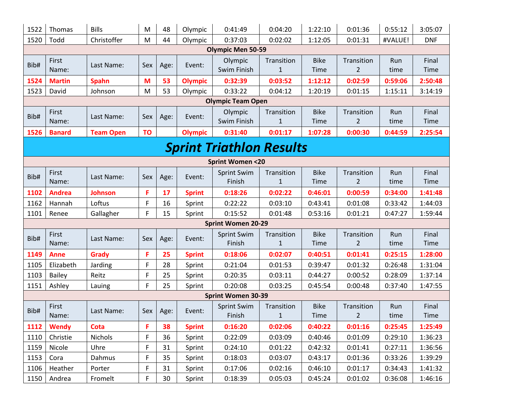| 1522 | Thomas                          | <b>Bills</b>     | M         | 48   | Olympic        | 0:41:49                      | 0:04:20                    | 1:22:10             | 0:01:36                      | 0:55:12     | 3:05:07              |  |  |
|------|---------------------------------|------------------|-----------|------|----------------|------------------------------|----------------------------|---------------------|------------------------------|-------------|----------------------|--|--|
| 1520 | Todd                            | Christoffer      | M         | 44   | Olympic        | 0:37:03                      | 0:02:02                    | 1:12:05             | 0:01:31                      | #VALUE!     | <b>DNF</b>           |  |  |
|      |                                 |                  |           |      |                | <b>Olympic Men 50-59</b>     |                            |                     |                              |             |                      |  |  |
| Bib# | First<br>Name:                  | Last Name:       | Sex       | Age: | Event:         | Olympic<br>Swim Finish       | Transition<br>1            | <b>Bike</b><br>Time | Transition<br>$\overline{2}$ | Run<br>time | Final<br>Time        |  |  |
| 1524 | <b>Martin</b>                   | <b>Spahn</b>     | M         | 53   | <b>Olympic</b> | 0:32:39                      | 0:03:52                    | 1:12:12             | 0:02:59                      | 0:59:06     | 2:50:48              |  |  |
| 1523 | David                           | Johnson          | M         | 53   | Olympic        | 0:33:22                      | 0:04:12                    | 1:20:19             | 0:01:15                      | 1:15:11     | 3:14:19              |  |  |
|      |                                 |                  |           |      |                | <b>Olympic Team Open</b>     |                            |                     |                              |             |                      |  |  |
| Bib# | First<br>Name:                  | Last Name:       | Sex       | Age: | Event:         | Olympic<br>Swim Finish       | Transition<br>$\mathbf{1}$ | <b>Bike</b><br>Time | Transition<br>2              | Run<br>time | Final<br>Time        |  |  |
| 1526 | <b>Banard</b>                   | <b>Team Open</b> | <b>TO</b> |      | <b>Olympic</b> | 0:31:40                      | 0:01:17                    | 1:07:28             | 0:00:30                      | 0:44:59     | 2:25:54              |  |  |
|      | <b>Sprint Triathlon Results</b> |                  |           |      |                |                              |                            |                     |                              |             |                      |  |  |
|      |                                 |                  |           |      |                |                              |                            |                     |                              |             |                      |  |  |
|      | <b>Sprint Women &lt;20</b>      |                  |           |      |                |                              |                            |                     |                              |             |                      |  |  |
| Bib# | First                           | Last Name:       | Sex       | Age: | Event:         | <b>Sprint Swim</b>           | Transition                 | <b>Bike</b>         | Transition                   | Run         | Final                |  |  |
|      | Name:                           |                  |           |      |                | Finish                       | 1                          | Time                | 2                            | time        | Time                 |  |  |
| 1102 | <b>Andrea</b>                   | <b>Johnson</b>   | F         | 17   | <b>Sprint</b>  | 0:18:26                      | 0:02:22                    | 0:46:01             | 0:00:59                      | 0:34:00     | 1:41:48              |  |  |
| 1162 | Hannah                          | Loftus           | F         | 16   | Sprint         | 0:22:22                      | 0:03:10                    | 0:43:41             | 0:01:08                      | 0:33:42     | 1:44:03              |  |  |
| 1101 | Renee                           | Gallagher        | F.        | 15   | Sprint         | 0:15:52                      | 0:01:48                    | 0:53:16             | 0:01:21                      | 0:47:27     | 1:59:44              |  |  |
|      |                                 |                  |           |      |                | <b>Sprint Women 20-29</b>    |                            |                     |                              |             |                      |  |  |
| Bib# | First<br>Name:                  | Last Name:       | Sex       | Age: | Event:         | <b>Sprint Swim</b><br>Finish | Transition<br>$\mathbf{1}$ | <b>Bike</b><br>Time | Transition<br>$\overline{2}$ | Run<br>time | Final<br><b>Time</b> |  |  |
| 1149 | <b>Anne</b>                     | <b>Grady</b>     | F         | 25   | <b>Sprint</b>  | 0:18:06                      | 0:02:07                    | 0:40:51             | 0:01:41                      | 0:25:15     | 1:28:00              |  |  |
| 1105 | Elizabeth                       | Jarding          | F         | 28   | Sprint         | 0:21:04                      | 0:01:53                    | 0:39:47             | 0:01:32                      | 0:26:48     | 1:31:04              |  |  |
| 1103 | <b>Bailey</b>                   | Reitz            | F         | 25   | Sprint         | 0:20:35                      | 0:03:11                    | 0:44:27             | 0:00:52                      | 0:28:09     | 1:37:14              |  |  |
| 1151 | Ashley                          | Lauing           | F         | 25   | Sprint         | 0:20:08                      | 0:03:25                    | 0:45:54             | 0:00:48                      | 0:37:40     | 1:47:55              |  |  |
|      |                                 |                  |           |      |                | <b>Sprint Women 30-39</b>    |                            |                     |                              |             |                      |  |  |
| Bib# | First<br>Name:                  | Last Name:       | Sex       | Age: | Event:         | <b>Sprint Swim</b><br>Finish | Transition<br>$\mathbf{1}$ | <b>Bike</b><br>Time | Transition<br>$\overline{2}$ | Run<br>time | Final<br>Time        |  |  |
| 1112 | <b>Wendy</b>                    | Cota             | F.        | 38   | <b>Sprint</b>  | 0:16:20                      | 0:02:06                    | 0:40:22             | 0:01:16                      | 0:25:45     | 1:25:49              |  |  |
| 1110 | Christie                        | Nichols          | F         | 36   | Sprint         | 0:22:09                      | 0:03:09                    | 0:40:46             | 0:01:09                      | 0:29:10     | 1:36:23              |  |  |
| 1159 | Nicole                          | Uhre             | F         | 31   | Sprint         | 0:24:10                      | 0:01:22                    | 0:42:32             | 0:01:41                      | 0:27:11     | 1:36:56              |  |  |
| 1153 | Cora                            | Dahmus           | F         | 35   | Sprint         | 0:18:03                      | 0:03:07                    | 0:43:17             | 0:01:36                      | 0:33:26     | 1:39:29              |  |  |
| 1106 | Heather                         | Porter           | F         | 31   | Sprint         | 0:17:06                      | 0:02:16                    | 0:46:10             | 0:01:17                      | 0:34:43     | 1:41:32              |  |  |
| 1150 | Andrea                          | Fromelt          | F         | 30   | Sprint         | 0:18:39                      | 0:05:03                    | 0:45:24             | 0:01:02                      | 0:36:08     | 1:46:16              |  |  |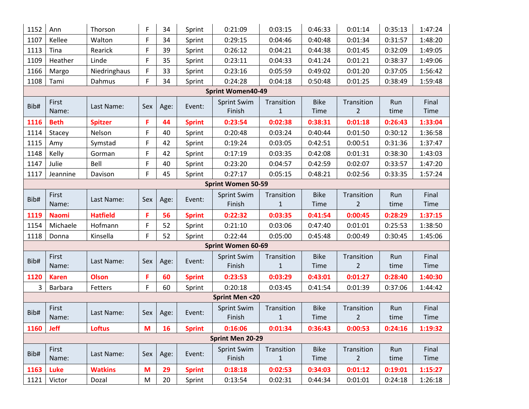| 1152                      | Ann            | Thorson         | F   | 34   | Sprint        | 0:21:09                      | 0:03:15                   | 0:46:33             | 0:01:14                      | 0:35:13     | 1:47:24       |  |  |  |
|---------------------------|----------------|-----------------|-----|------|---------------|------------------------------|---------------------------|---------------------|------------------------------|-------------|---------------|--|--|--|
| 1107                      | Kellee         | Walton          | F   | 34   | Sprint        | 0:29:15                      | 0:04:46                   | 0:40:48             | 0:01:34                      | 0:31:57     | 1:48:20       |  |  |  |
| 1113                      | Tina           | Rearick         | F   | 39   | Sprint        | 0:26:12                      | 0:04:21                   | 0:44:38             | 0:01:45                      | 0:32:09     | 1:49:05       |  |  |  |
| 1109                      | Heather        | Linde           | F   | 35   | Sprint        | 0:23:11                      | 0:04:33                   | 0:41:24             | 0:01:21                      | 0:38:37     | 1:49:06       |  |  |  |
| 1166                      | Margo          | Niedringhaus    | F   | 33   | Sprint        | 0:23:16                      | 0:05:59                   | 0:49:02             | 0:01:20                      | 0:37:05     | 1:56:42       |  |  |  |
| 1108                      | Tami           | Dahmus          | F.  | 34   | Sprint        | 0:24:28                      | 0:04:18                   | 0:50:48             | 0:01:25                      | 0:38:49     | 1:59:48       |  |  |  |
|                           |                |                 |     |      |               | <b>Sprint Women40-49</b>     |                           |                     |                              |             |               |  |  |  |
| Bib#                      | First<br>Name: | Last Name:      | Sex | Age: | Event:        | <b>Sprint Swim</b><br>Finish | Transition<br>$\mathbf 1$ | <b>Bike</b><br>Time | Transition<br>$\overline{2}$ | Run<br>time | Final<br>Time |  |  |  |
| 1116                      | <b>Beth</b>    | <b>Spitzer</b>  | F   | 44   | <b>Sprint</b> | 0:23:54                      | 0:02:38                   | 0:38:31             | 0:01:18                      | 0:26:43     | 1:33:04       |  |  |  |
| 1114                      | Stacey         | Nelson          | F   | 40   | Sprint        | 0:20:48                      | 0:03:24                   | 0:40:44             | 0:01:50                      | 0:30:12     | 1:36:58       |  |  |  |
| 1115                      | Amy            | Symstad         | F   | 42   | Sprint        | 0:19:24                      | 0:03:05                   | 0:42:51             | 0:00:51                      | 0:31:36     | 1:37:47       |  |  |  |
| 1148                      | Kelly          | Gorman          | F   | 42   | Sprint        | 0:17:19                      | 0:03:35                   | 0:42:08             | 0:01:31                      | 0:38:30     | 1:43:03       |  |  |  |
| 1147                      | Julie          | Bell            | F   | 40   | Sprint        | 0:23:20                      | 0:04:57                   | 0:42:59             | 0:02:07                      | 0:33:57     | 1:47:20       |  |  |  |
| 1117                      | Jeannine       | Davison         | F   | 45   | Sprint        | 0:27:17                      | 0:05:15                   | 0:48:21             | 0:02:56                      | 0:33:35     | 1:57:24       |  |  |  |
| <b>Sprint Women 50-59</b> |                |                 |     |      |               |                              |                           |                     |                              |             |               |  |  |  |
| Bib#                      | First          | Last Name:      | Sex |      | Event:        | <b>Sprint Swim</b>           | Transition                | <b>Bike</b>         | Transition                   | Run         | Final         |  |  |  |
|                           | Name:          |                 |     | Age: |               | Finish                       | $\mathbf{1}$              | <b>Time</b>         | $\overline{2}$               | time        | Time          |  |  |  |
| 1119                      | <b>Naomi</b>   | <b>Hatfield</b> | F   | 56   | <b>Sprint</b> | 0:22:32                      | 0:03:35                   | 0:41:54             | 0:00:45                      | 0:28:29     | 1:37:15       |  |  |  |
| 1154                      | Michaele       | Hofmann         | F   | 52   | Sprint        | 0:21:10                      | 0:03:06                   | 0:47:40             | 0:01:01                      | 0:25:53     | 1:38:50       |  |  |  |
| 1118                      | Donna          | Kinsella        | F   | 52   | Sprint        | 0:22:44                      | 0:05:00                   | 0:45:48             | 0:00:49                      | 0:30:45     | 1:45:06       |  |  |  |
|                           |                |                 |     |      |               | <b>Sprint Women 60-69</b>    |                           |                     |                              |             |               |  |  |  |
| Bib#                      | First          | Last Name:      | Sex | Age: | Event:        | <b>Sprint Swim</b>           | Transition                | <b>Bike</b>         | Transition                   | Run         | Final         |  |  |  |
|                           | Name:          |                 |     |      |               | Finish                       | $\mathbf{1}$              | Time                | $\overline{2}$               | time        | Time          |  |  |  |
| 1120                      | <b>Karen</b>   | <b>Olson</b>    | F   | 60   | <b>Sprint</b> | 0:23:53                      | 0:03:29                   | 0:43:01             | 0:01:27                      | 0:28:40     | 1:40:30       |  |  |  |
| 3                         | Barbara        | Fetters         | F   | 60   | Sprint        | 0:20:18                      | 0:03:45                   | 0:41:54             | 0:01:39                      | 0:37:06     | 1:44:42       |  |  |  |
|                           |                |                 |     |      |               | <b>Sprint Men &lt;20</b>     |                           |                     |                              |             |               |  |  |  |
| Bib#                      | First          | Last Name:      | Sex | Age: | Event:        | <b>Sprint Swim</b>           | Transition                | <b>Bike</b>         | Transition                   | Run         | Final         |  |  |  |
|                           | Name:          |                 |     |      |               | Finish                       | $\mathbf 1$               | Time                | $\overline{2}$               | time        | Time          |  |  |  |
| 1160                      | <b>Jeff</b>    | <b>Loftus</b>   | M   | 16   | <b>Sprint</b> | 0:16:06                      | 0:01:34                   | 0:36:43             | 0:00:53                      | 0:24:16     | 1:19:32       |  |  |  |
|                           |                |                 |     |      |               | <b>Sprint Men 20-29</b>      |                           |                     |                              |             |               |  |  |  |
|                           |                |                 |     |      |               |                              |                           |                     |                              |             |               |  |  |  |
|                           | First          |                 |     |      |               | <b>Sprint Swim</b>           | Transition                | <b>Bike</b>         | Transition                   | Run         | Final         |  |  |  |
| Bib#                      | Name:          | Last Name:      | Sex | Age: | Event:        | Finish                       | $\mathbf 1$               | Time                | $\overline{2}$               | time        | Time          |  |  |  |
| 1163                      | Luke           | <b>Watkins</b>  | M   | 29   | <b>Sprint</b> | 0:18:18                      | 0:02:53                   | 0:34:03             | 0:01:12                      | 0:19:01     | 1:15:27       |  |  |  |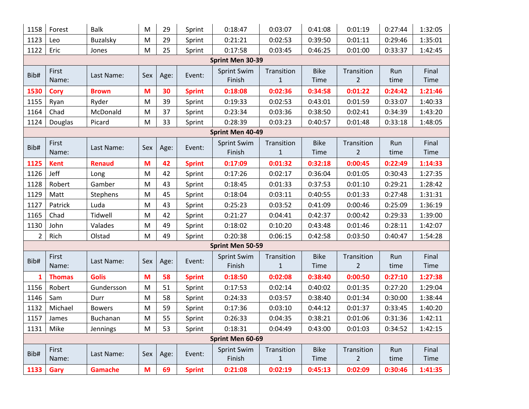| 1158           | Forest           | <b>Balk</b>     | M   | 29   | Sprint        | 0:18:47                      | 0:03:07                    | 0:41:08             | 0:01:19                      | 0:27:44     | 1:32:05              |
|----------------|------------------|-----------------|-----|------|---------------|------------------------------|----------------------------|---------------------|------------------------------|-------------|----------------------|
| 1123           | Leo              | <b>Buzalsky</b> | M   | 29   | Sprint        | 0:21:21                      | 0:02:53                    | 0:39:50             | 0:01:11                      | 0:29:46     | 1:35:01              |
| 1122           | Eric             | Jones           | M   | 25   | Sprint        | 0:17:58                      | 0:03:45                    | 0:46:25             | 0:01:00                      | 0:33:37     | 1:42:45              |
|                |                  |                 |     |      |               | Sprint Men 30-39             |                            |                     |                              |             |                      |
| Bib#           | First<br>Name:   | Last Name:      | Sex | Age: | Event:        | <b>Sprint Swim</b><br>Finish | Transition<br>$\mathbf{1}$ | <b>Bike</b><br>Time | Transition<br>$\overline{2}$ | Run<br>time | Final<br>Time        |
| 1530           | <b>Cory</b>      | <b>Brown</b>    | M   | 30   | <b>Sprint</b> | 0:18:08                      | 0:02:36                    | 0:34:58             | 0:01:22                      | 0:24:42     | 1:21:46              |
| 1155           | Ryan             | Ryder           | M   | 39   | Sprint        | 0:19:33                      | 0:02:53                    | 0:43:01             | 0:01:59                      | 0:33:07     | 1:40:33              |
| 1164           | Chad             | McDonald        | M   | 37   | Sprint        | 0:23:34                      | 0:03:36                    | 0:38:50             | 0:02:41                      | 0:34:39     | 1:43:20              |
| 1124           | Douglas          | Picard          | M   | 33   | Sprint        | 0:28:39                      | 0:03:23                    | 0:40:57             | 0:01:48                      | 0:33:18     | 1:48:05              |
|                |                  |                 |     |      |               | Sprint Men 40-49             |                            |                     |                              |             |                      |
| Bib#           | First<br>Name:   | Last Name:      | Sex | Age: | Event:        | <b>Sprint Swim</b><br>Finish | Transition<br>$\mathbf{1}$ | <b>Bike</b><br>Time | Transition<br>$\overline{2}$ | Run<br>time | Final<br>Time        |
| 1125           | <b>Kent</b>      | <b>Renaud</b>   | M   | 42   | <b>Sprint</b> | 0:17:09                      | 0:01:32                    | 0:32:18             | 0:00:45                      | 0:22:49     | 1:14:33              |
| 1126           | Jeff             | Long            | M   | 42   | Sprint        | 0:17:26                      | 0:02:17                    | 0:36:04             | 0:01:05                      | 0:30:43     | 1:27:35              |
| 1128           | Robert           | Gamber          | M   | 43   | Sprint        | 0:18:45                      | 0:01:33                    | 0:37:53             | 0:01:10                      | 0:29:21     | 1:28:42              |
| 1129           | Matt             | Stephens        | M   | 45   | Sprint        | 0:18:04                      | 0:03:11                    | 0:40:55             | 0:01:33                      | 0:27:48     | 1:31:31              |
| 1127           | Patrick          | Luda            | M   | 43   | Sprint        | 0:25:23                      | 0:03:52                    | 0:41:09             | 0:00:46                      | 0:25:09     | 1:36:19              |
| 1165           | Chad             | Tidwell         | M   | 42   | Sprint        | 0:21:27                      | 0:04:41                    | 0:42:37             | 0:00:42                      | 0:29:33     | 1:39:00              |
| 1130           | John             | Valades         | M   | 49   | Sprint        | 0:18:02                      | 0:10:20                    | 0:43:48             | 0:01:46                      | 0:28:11     | 1:42:07              |
| $\overline{2}$ | Rich             | Olstad          | M   | 49   | Sprint        | 0:20:38                      | 0:06:15                    | 0:42:58             | 0:03:50                      | 0:40:47     | 1:54:28              |
|                |                  |                 |     |      |               | Sprint Men 50-59             |                            |                     |                              |             |                      |
| Bib#           | First<br>Name:   | Last Name:      | Sex | Age: | Event:        | <b>Sprint Swim</b><br>Finish | Transition<br>$\mathbf{1}$ | <b>Bike</b><br>Time | Transition<br>$\overline{2}$ | Run<br>time | Final<br><b>Time</b> |
| 1              | <b>Thomas</b>    | <b>Golis</b>    | M   | 58   | <b>Sprint</b> | 0:18:50                      | 0:02:08                    | 0:38:40             | 0:00:50                      | 0:27:10     | 1:27:38              |
| 1156           | Robert           | Gundersson      | M   | 51   | Sprint        | 0:17:53                      | 0:02:14                    | 0:40:02             | 0:01:35                      | 0:27:20     | 1:29:04              |
| 1146           | Sam              | Durr            | M   | 58   | Sprint        | 0:24:33                      | 0:03:57                    | 0:38:40             | 0:01:34                      | 0:30:00     | 1:38:44              |
| 1132           | Michael          | <b>Bowers</b>   | M   | 59   | Sprint        | 0:17:36                      | 0:03:10                    | 0:44:12             | 0:01:37                      | 0:33:45     | 1:40:20              |
| 1157           | James            | Buchanan        | M   | 55   | Sprint        | 0:26:33                      | 0:04:35                    | 0:38:21             | 0:01:06                      | 0:31:36     | 1:42:11              |
| 1131           | Mike             | Jennings        | M   | 53   | Sprint        | 0:18:31                      | 0:04:49                    | 0:43:00             | 0:01:03                      | 0:34:52     | 1:42:15              |
|                | Sprint Men 60-69 |                 |     |      |               |                              |                            |                     |                              |             |                      |
| Bib#           | First<br>Name:   | Last Name:      | Sex | Age: | Event:        | <b>Sprint Swim</b><br>Finish | Transition<br>$\mathbf{1}$ | <b>Bike</b><br>Time | Transition<br>$\overline{2}$ | Run<br>time | Final<br>Time        |
| 1133           | Gary             | <b>Gamache</b>  | M   | 69   | <b>Sprint</b> | 0:21:08                      | 0:02:19                    | 0:45:13             | 0:02:09                      | 0:30:46     | 1:41:35              |